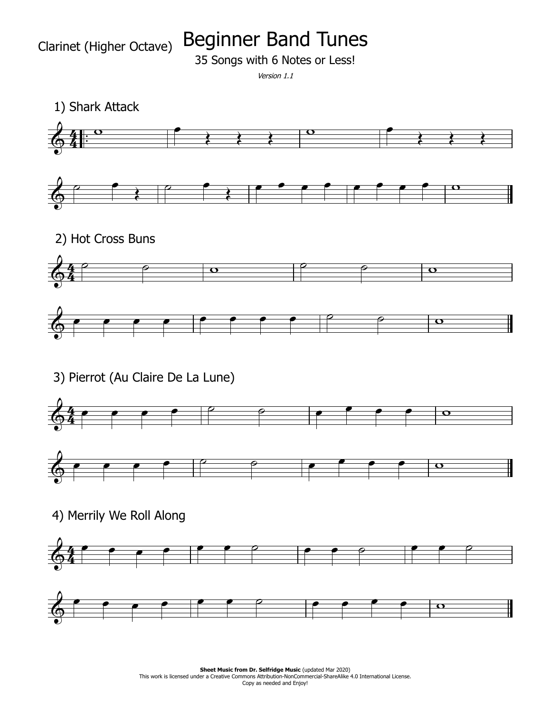Beginner Band Tunes

35 Songs with 6 Notes or Less!

Version 1.1



**Sheet Music from Dr. Selfridge Music (updated Mar 2020) Sheet Music from Dr. Selfridge Music** (updated Mar 2020)<br>This work is licensed under a Creative Commons Attribution-NonCommercial-ShareAlike 4.0 International License. Copy as needed and Enjoy!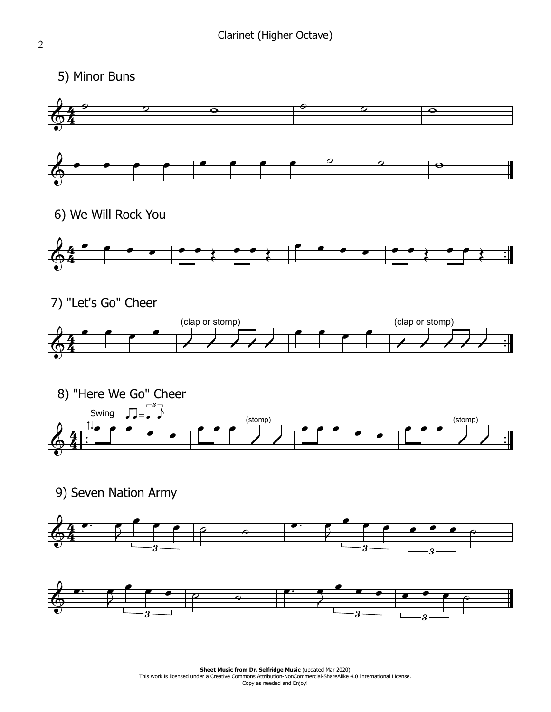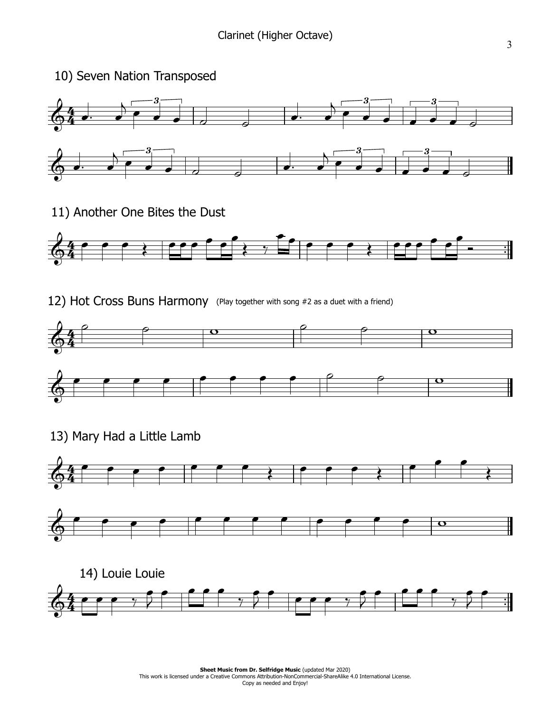

11) Another One Bites the Dust



12) Hot Cross Buns Harmony (Play together with song #2 as <sup>a</sup> duet with <sup>a</sup> friend)





13) Mary Had a Little Lamb



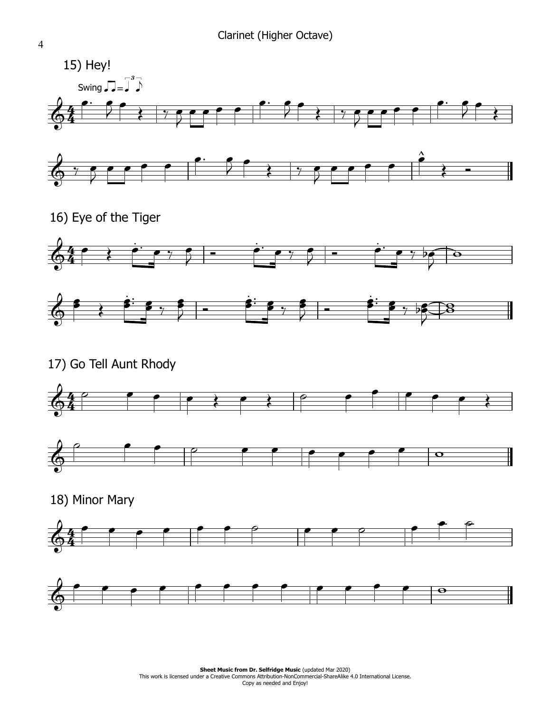

16) Eve of the Tiger





17) Go Tell Aunt Rhody





18) Minor Mary



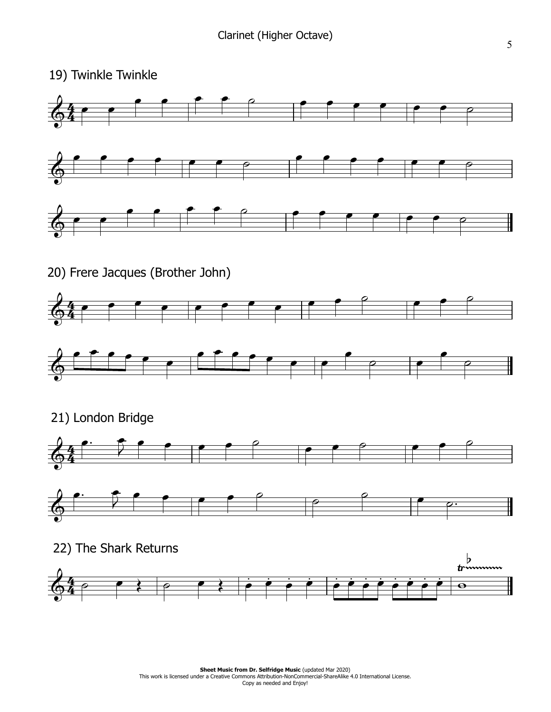## 19) Twinkle Twinkle

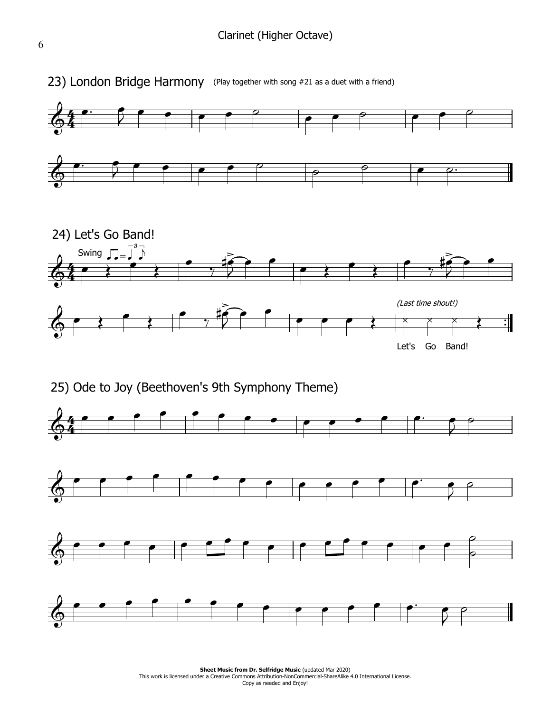

25) Ode to Joy (Beethoven's 9th Symphony Theme)



**Sheet Music from Dr. Selfridge Music (updated Mar 2020) Sheet Music from Dr. Selfridge Music** (updated Mar 2020)<br>This work is licensed under a Creative Commons Attribution-NonCommercial-ShareAlike 4.0 International License. Copy as needed and Enjoy!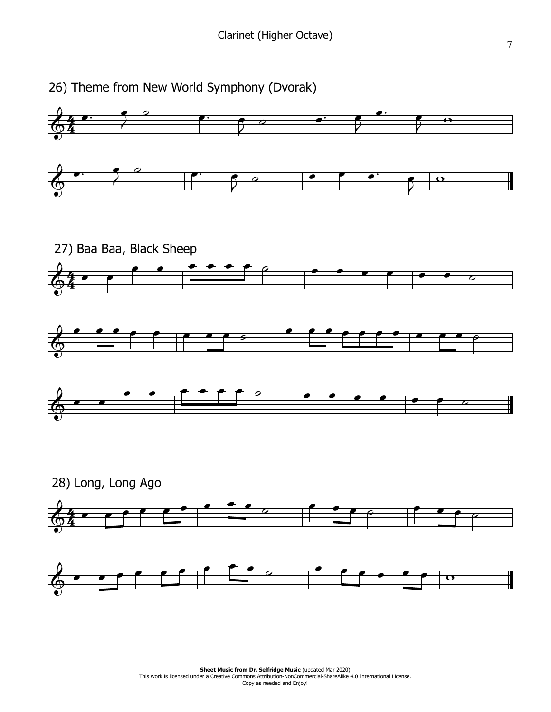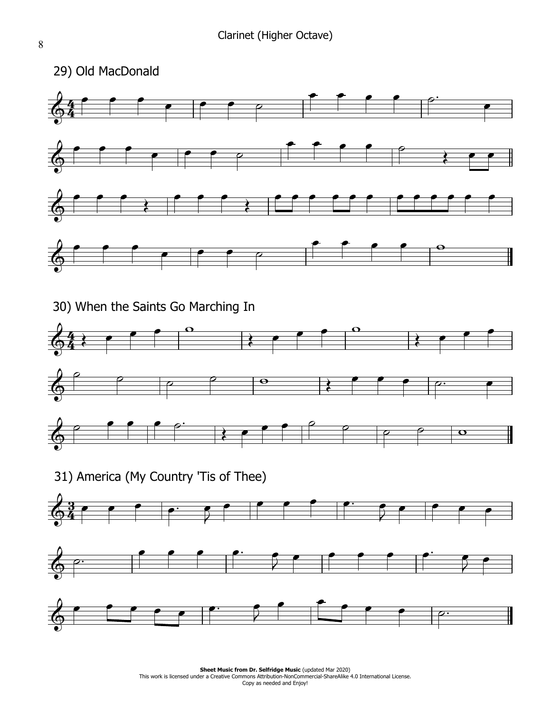

**Sheet Music from Dr. Selfridge Music (updated Mar 2020) Sheet Music from Dr. Selfridge Music** (updated Mar 2020)<br>This work is licensed under a Creative Commons Attribution-NonCommercial-ShareAlike 4.0 International License. Copy as needed and Enjoy!